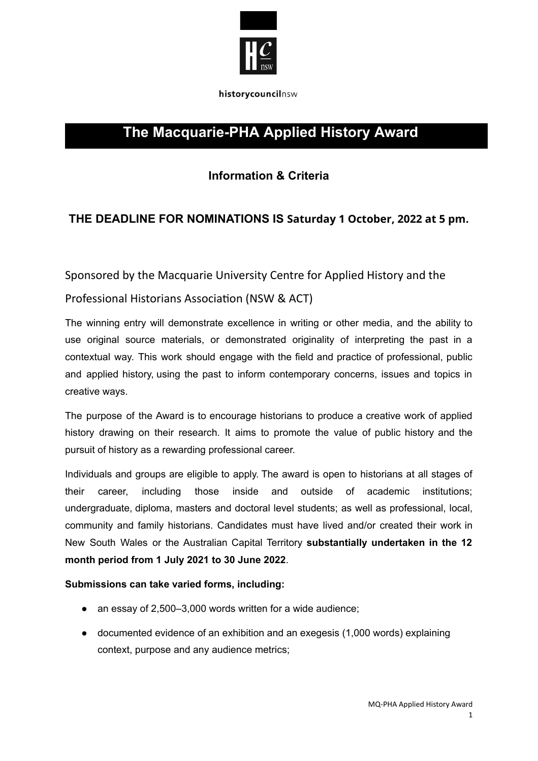

historycouncilnsw

# **The Macquarie-PHA Applied History Award**

# **Information & Criteria**

## **THE DEADLINE FOR NOMINATIONS IS Saturday 1 October, 2022 at 5 pm.**

Sponsored by the Macquarie University Centre for Applied History and the

### Professional Historians Association (NSW & ACT)

The winning entry will demonstrate excellence in writing or other media, and the ability to use original source materials, or demonstrated originality of interpreting the past in a contextual way. This work should engage with the field and practice of professional, public and applied history, using the past to inform contemporary concerns, issues and topics in creative ways.

The purpose of the Award is to encourage historians to produce a creative work of applied history drawing on their research. It aims to promote the value of public history and the pursuit of history as a rewarding professional career.

Individuals and groups are eligible to apply. The award is open to historians at all stages of their career, including those inside and outside of academic institutions; undergraduate, diploma, masters and doctoral level students; as well as professional, local, community and family historians. Candidates must have lived and/or created their work in New South Wales or the Australian Capital Territory **substantially undertaken in the 12 month period from 1 July 2021 to 30 June 2022**.

#### **Submissions can take varied forms, including:**

- an essay of 2,500–3,000 words written for a wide audience;
- documented evidence of an exhibition and an exegesis (1,000 words) explaining context, purpose and any audience metrics;